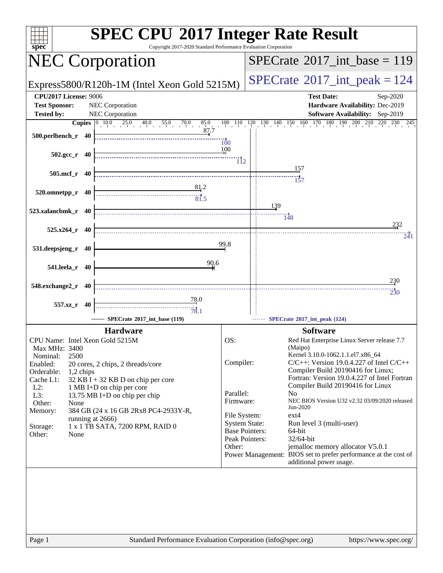| <b>SPEC CPU®2017 Integer Rate Result</b><br>Copyright 2017-2020 Standard Performance Evaluation Corporation<br>$spec^*$                                                                                                                                                                                                                                                                                                                                           |                                                                                                                                         |                                                                                                                                                                                                                                                                                                                                                                                                                                                                                                                                                                             |  |  |  |
|-------------------------------------------------------------------------------------------------------------------------------------------------------------------------------------------------------------------------------------------------------------------------------------------------------------------------------------------------------------------------------------------------------------------------------------------------------------------|-----------------------------------------------------------------------------------------------------------------------------------------|-----------------------------------------------------------------------------------------------------------------------------------------------------------------------------------------------------------------------------------------------------------------------------------------------------------------------------------------------------------------------------------------------------------------------------------------------------------------------------------------------------------------------------------------------------------------------------|--|--|--|
| <b>NEC Corporation</b>                                                                                                                                                                                                                                                                                                                                                                                                                                            |                                                                                                                                         | $SPECrate^{\circledast}2017\_int\_base = 119$                                                                                                                                                                                                                                                                                                                                                                                                                                                                                                                               |  |  |  |
| Express5800/R120h-1M (Intel Xeon Gold 5215M)                                                                                                                                                                                                                                                                                                                                                                                                                      |                                                                                                                                         | $SPECrate^{\circ}2017\_int\_peak = 124$                                                                                                                                                                                                                                                                                                                                                                                                                                                                                                                                     |  |  |  |
| <b>CPU2017 License: 9006</b><br><b>Test Sponsor:</b><br>NEC Corporation<br>NEC Corporation<br><b>Tested by:</b>                                                                                                                                                                                                                                                                                                                                                   |                                                                                                                                         | <b>Test Date:</b><br>Sep-2020<br>Hardware Availability: Dec-2019<br>Software Availability: Sep-2019                                                                                                                                                                                                                                                                                                                                                                                                                                                                         |  |  |  |
|                                                                                                                                                                                                                                                                                                                                                                                                                                                                   |                                                                                                                                         | <b>Copies</b> $\begin{bmatrix} 0 & 10 & 0 & 25 & 0 & 40 & 55 & 0 & 70 & 0 & 85 & 10 & 110 & 120 & 130 & 140 & 150 & 160 & 170 & 180 & 190 & 200 & 210 & 220 & 230 & 245 \end{bmatrix}$                                                                                                                                                                                                                                                                                                                                                                                      |  |  |  |
| 87.7<br>500.perlbench_r 40                                                                                                                                                                                                                                                                                                                                                                                                                                        | 100                                                                                                                                     |                                                                                                                                                                                                                                                                                                                                                                                                                                                                                                                                                                             |  |  |  |
| $502.\text{gcc}_r$ 40                                                                                                                                                                                                                                                                                                                                                                                                                                             | 100                                                                                                                                     |                                                                                                                                                                                                                                                                                                                                                                                                                                                                                                                                                                             |  |  |  |
| $505.\text{mcf}_r$ 40                                                                                                                                                                                                                                                                                                                                                                                                                                             |                                                                                                                                         | <u>15</u> 7                                                                                                                                                                                                                                                                                                                                                                                                                                                                                                                                                                 |  |  |  |
| $\begin{array}{c c c} \hline & 81.2 \\ \hline \end{array}$<br>520.omnetpp_r 40                                                                                                                                                                                                                                                                                                                                                                                    |                                                                                                                                         | 139                                                                                                                                                                                                                                                                                                                                                                                                                                                                                                                                                                         |  |  |  |
| 523.xalancbmk_r 40                                                                                                                                                                                                                                                                                                                                                                                                                                                |                                                                                                                                         | 148<br>232                                                                                                                                                                                                                                                                                                                                                                                                                                                                                                                                                                  |  |  |  |
| $525.x264$ r 40                                                                                                                                                                                                                                                                                                                                                                                                                                                   | 99.8                                                                                                                                    | 241                                                                                                                                                                                                                                                                                                                                                                                                                                                                                                                                                                         |  |  |  |
| 531.deepsjeng_r 40<br>90,6                                                                                                                                                                                                                                                                                                                                                                                                                                        |                                                                                                                                         |                                                                                                                                                                                                                                                                                                                                                                                                                                                                                                                                                                             |  |  |  |
| 541.leela_r 40                                                                                                                                                                                                                                                                                                                                                                                                                                                    |                                                                                                                                         | 230                                                                                                                                                                                                                                                                                                                                                                                                                                                                                                                                                                         |  |  |  |
| 548.exchange2_r 40                                                                                                                                                                                                                                                                                                                                                                                                                                                |                                                                                                                                         | 230                                                                                                                                                                                                                                                                                                                                                                                                                                                                                                                                                                         |  |  |  |
| 78.0<br>557.xz_r 40<br>78.1                                                                                                                                                                                                                                                                                                                                                                                                                                       |                                                                                                                                         |                                                                                                                                                                                                                                                                                                                                                                                                                                                                                                                                                                             |  |  |  |
| SPECrate <sup>®</sup> 2017_int_base (119)                                                                                                                                                                                                                                                                                                                                                                                                                         |                                                                                                                                         | SPECrate®2017_int_peak (124)                                                                                                                                                                                                                                                                                                                                                                                                                                                                                                                                                |  |  |  |
| <b>Hardware</b><br>CPU Name: Intel Xeon Gold 5215M<br>Max MHz: 3400<br>2500<br>Nominal:<br>Enabled:<br>20 cores, 2 chips, 2 threads/core<br>Orderable:<br>1,2 chips<br>Cache L1:<br>$32$ KB I + 32 KB D on chip per core<br>$L2$ :<br>1 MB I+D on chip per core<br>L3:<br>13.75 MB I+D on chip per chip<br>Other:<br>None<br>Memory:<br>384 GB (24 x 16 GB 2Rx8 PC4-2933Y-R,<br>running at 2666)<br>1 x 1 TB SATA, 7200 RPM, RAID 0<br>Storage:<br>None<br>Other: | OS:<br>Compiler:<br>Parallel:<br>Firmware:<br>File System:<br><b>System State:</b><br><b>Base Pointers:</b><br>Peak Pointers:<br>Other: | <b>Software</b><br>Red Hat Enterprise Linux Server release 7.7<br>(Maipo)<br>Kernel 3.10.0-1062.1.1.el7.x86_64<br>$C/C++$ : Version 19.0.4.227 of Intel $C/C++$<br>Compiler Build 20190416 for Linux;<br>Fortran: Version 19.0.4.227 of Intel Fortran<br>Compiler Build 20190416 for Linux<br>N <sub>0</sub><br>NEC BIOS Version U32 v2.32 03/09/2020 released<br>Jun-2020<br>$ext{4}$<br>Run level 3 (multi-user)<br>64-bit<br>32/64-bit<br>jemalloc memory allocator V5.0.1<br>Power Management: BIOS set to prefer performance at the cost of<br>additional power usage. |  |  |  |
| Standard Performance Evaluation Corporation (info@spec.org)<br>Page 1                                                                                                                                                                                                                                                                                                                                                                                             |                                                                                                                                         | https://www.spec.org/                                                                                                                                                                                                                                                                                                                                                                                                                                                                                                                                                       |  |  |  |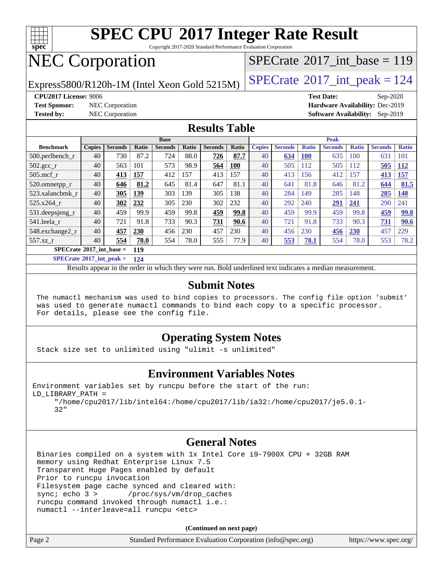

Copyright 2017-2020 Standard Performance Evaluation Corporation

# NEC Corporation

Express5800/R120h-1M (Intel Xeon Gold 5215M)  $\left|$  [SPECrate](http://www.spec.org/auto/cpu2017/Docs/result-fields.html#SPECrate2017intpeak)®[2017\\_int\\_peak = 1](http://www.spec.org/auto/cpu2017/Docs/result-fields.html#SPECrate2017intpeak)24

 $SPECTate@2017_int\_base = 119$ 

**[CPU2017 License:](http://www.spec.org/auto/cpu2017/Docs/result-fields.html#CPU2017License)** 9006 **[Test Date:](http://www.spec.org/auto/cpu2017/Docs/result-fields.html#TestDate)** Sep-2020 **[Test Sponsor:](http://www.spec.org/auto/cpu2017/Docs/result-fields.html#TestSponsor)** NEC Corporation **[Hardware Availability:](http://www.spec.org/auto/cpu2017/Docs/result-fields.html#HardwareAvailability)** Dec-2019 **[Tested by:](http://www.spec.org/auto/cpu2017/Docs/result-fields.html#Testedby)** NEC Corporation **[Software Availability:](http://www.spec.org/auto/cpu2017/Docs/result-fields.html#SoftwareAvailability)** Sep-2019

## **[Results Table](http://www.spec.org/auto/cpu2017/Docs/result-fields.html#ResultsTable)**

|                                            | <b>Base</b>   |                |       |                | <b>Peak</b> |                |       |               |                |              |                |              |                |              |
|--------------------------------------------|---------------|----------------|-------|----------------|-------------|----------------|-------|---------------|----------------|--------------|----------------|--------------|----------------|--------------|
| <b>Benchmark</b>                           | <b>Copies</b> | <b>Seconds</b> | Ratio | <b>Seconds</b> | Ratio       | <b>Seconds</b> | Ratio | <b>Copies</b> | <b>Seconds</b> | <b>Ratio</b> | <b>Seconds</b> | <b>Ratio</b> | <b>Seconds</b> | <b>Ratio</b> |
| $500$ .perlbench r                         | 40            | 730            | 87.2  | 724            | 88.0        | 726            | 87.7  | 40            | 634            | <b>100</b>   | 635            | 100          | 631            | 101          |
| $502.\text{gcc}_r$                         | 40            | 563            | 101   | 573            | 98.9        | 564            | 100   | 40            | 505            | 112          | 505            | 112          | 505            | <b>112</b>   |
| $505$ .mcf r                               | 40            | 413            | 157   | 412            | 157         | 413            | 157   | 40            | 413            | 156          | 412            | 157          | 413            | 157          |
| 520.omnetpp_r                              | 40            | 646            | 81.2  | 645            | 81.4        | 647            | 81.1  | 40            | 641            | 81.8         | 646            | 81.2         | 644            | 81.5         |
| 523.xalancbmk r                            | 40            | 305            | 139   | 303            | 139         | 305            | 138   | 40            | 284            | 149          | 285            | 148          | 285            | <u>148</u>   |
| 525.x264 r                                 | 40            | 302            | 232   | 305            | 230         | 302            | 232   | 40            | 292            | 240          | 291            | 241          | 290            | 241          |
| 531.deepsjeng_r                            | 40            | 459            | 99.9  | 459            | 99.8        | 459            | 99.8  | 40            | 459            | 99.9         | 459            | 99.8         | 459            | 99.8         |
| 541.leela r                                | 40            | 721            | 91.8  | 733            | 90.3        | 731            | 90.6  | 40            | 721            | 91.8         | 733            | 90.3         | 731            | 90.6         |
| 548.exchange2_r                            | 40            | 457            | 230   | 456            | 230         | 457            | 230   | 40            | 456            | 230          | 456            | 230          | 457            | 229          |
| 557.xz r                                   | 40            | 554            | 78.0  | 554            | 78.0        | 555            | 77.9  | 40            | 553            | 78.1         | 554            | 78.0         | 553            | 78.2         |
| $SPECrate^{\otimes}2017$ int base =<br>119 |               |                |       |                |             |                |       |               |                |              |                |              |                |              |

**[SPECrate](http://www.spec.org/auto/cpu2017/Docs/result-fields.html#SPECrate2017intpeak)[2017\\_int\\_peak =](http://www.spec.org/auto/cpu2017/Docs/result-fields.html#SPECrate2017intpeak) 124**

Results appear in the [order in which they were run.](http://www.spec.org/auto/cpu2017/Docs/result-fields.html#RunOrder) Bold underlined text [indicates a median measurement.](http://www.spec.org/auto/cpu2017/Docs/result-fields.html#Median)

#### **[Submit Notes](http://www.spec.org/auto/cpu2017/Docs/result-fields.html#SubmitNotes)**

 The numactl mechanism was used to bind copies to processors. The config file option 'submit' was used to generate numactl commands to bind each copy to a specific processor. For details, please see the config file.

### **[Operating System Notes](http://www.spec.org/auto/cpu2017/Docs/result-fields.html#OperatingSystemNotes)**

Stack size set to unlimited using "ulimit -s unlimited"

### **[Environment Variables Notes](http://www.spec.org/auto/cpu2017/Docs/result-fields.html#EnvironmentVariablesNotes)**

```
Environment variables set by runcpu before the start of the run:
LD_LIBRARY_PATH =
      "/home/cpu2017/lib/intel64:/home/cpu2017/lib/ia32:/home/cpu2017/je5.0.1-
```
32"

## **[General Notes](http://www.spec.org/auto/cpu2017/Docs/result-fields.html#GeneralNotes)**

 Binaries compiled on a system with 1x Intel Core i9-7900X CPU + 32GB RAM memory using Redhat Enterprise Linux 7.5 Transparent Huge Pages enabled by default Prior to runcpu invocation Filesystem page cache synced and cleared with: sync; echo 3 > /proc/sys/vm/drop\_caches runcpu command invoked through numactl i.e.: numactl --interleave=all runcpu <etc>

**(Continued on next page)**

| Page 2 | Standard Performance Evaluation Corporation (info@spec.org) | https://www.spec.org/ |
|--------|-------------------------------------------------------------|-----------------------|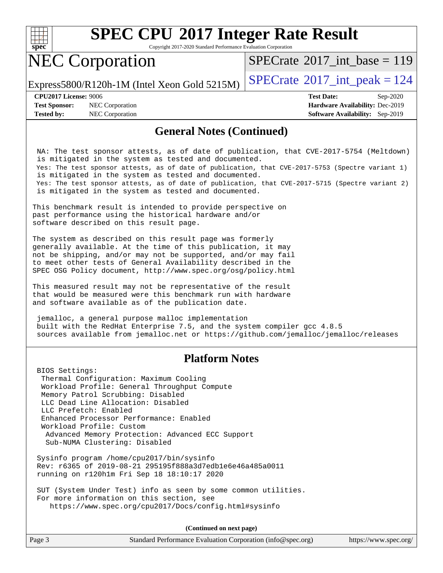

Copyright 2017-2020 Standard Performance Evaluation Corporation

# NEC Corporation

 $SPECTate@2017_int\_base = 119$ 

Express5800/R120h-1M (Intel Xeon Gold 5215M)  $\left|$  [SPECrate](http://www.spec.org/auto/cpu2017/Docs/result-fields.html#SPECrate2017intpeak)<sup>®</sup>[2017\\_int\\_peak = 1](http://www.spec.org/auto/cpu2017/Docs/result-fields.html#SPECrate2017intpeak)24

**[Test Sponsor:](http://www.spec.org/auto/cpu2017/Docs/result-fields.html#TestSponsor)** NEC Corporation **[Hardware Availability:](http://www.spec.org/auto/cpu2017/Docs/result-fields.html#HardwareAvailability)** Dec-2019 **[Tested by:](http://www.spec.org/auto/cpu2017/Docs/result-fields.html#Testedby)** NEC Corporation **[Software Availability:](http://www.spec.org/auto/cpu2017/Docs/result-fields.html#SoftwareAvailability)** Sep-2019

**[CPU2017 License:](http://www.spec.org/auto/cpu2017/Docs/result-fields.html#CPU2017License)** 9006 **[Test Date:](http://www.spec.org/auto/cpu2017/Docs/result-fields.html#TestDate)** Sep-2020

#### **[General Notes \(Continued\)](http://www.spec.org/auto/cpu2017/Docs/result-fields.html#GeneralNotes)**

 NA: The test sponsor attests, as of date of publication, that CVE-2017-5754 (Meltdown) is mitigated in the system as tested and documented. Yes: The test sponsor attests, as of date of publication, that CVE-2017-5753 (Spectre variant 1) is mitigated in the system as tested and documented. Yes: The test sponsor attests, as of date of publication, that CVE-2017-5715 (Spectre variant 2) is mitigated in the system as tested and documented.

This benchmark result is intended to provide perspective on past performance using the historical hardware and/or software described on this result page.

The system as described on this result page was formerly generally available. At the time of this publication, it may not be shipping, and/or may not be supported, and/or may fail to meet other tests of General Availability described in the SPEC OSG Policy document, <http://www.spec.org/osg/policy.html>

This measured result may not be representative of the result that would be measured were this benchmark run with hardware and software available as of the publication date.

 jemalloc, a general purpose malloc implementation built with the RedHat Enterprise 7.5, and the system compiler gcc 4.8.5 sources available from jemalloc.net or<https://github.com/jemalloc/jemalloc/releases>

### **[Platform Notes](http://www.spec.org/auto/cpu2017/Docs/result-fields.html#PlatformNotes)**

 BIOS Settings: Thermal Configuration: Maximum Cooling Workload Profile: General Throughput Compute Memory Patrol Scrubbing: Disabled LLC Dead Line Allocation: Disabled LLC Prefetch: Enabled Enhanced Processor Performance: Enabled Workload Profile: Custom Advanced Memory Protection: Advanced ECC Support Sub-NUMA Clustering: Disabled

 Sysinfo program /home/cpu2017/bin/sysinfo Rev: r6365 of 2019-08-21 295195f888a3d7edb1e6e46a485a0011 running on r120h1m Fri Sep 18 18:10:17 2020

 SUT (System Under Test) info as seen by some common utilities. For more information on this section, see <https://www.spec.org/cpu2017/Docs/config.html#sysinfo>

**(Continued on next page)**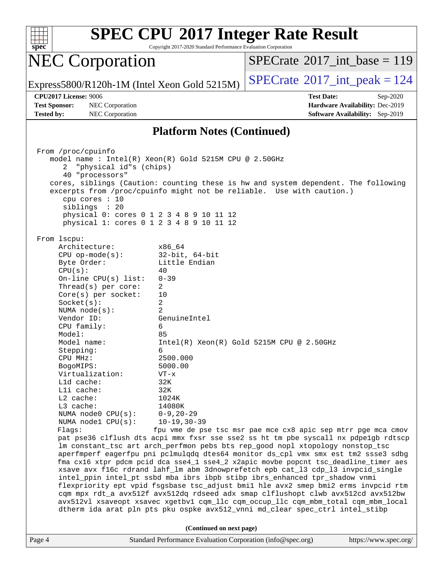

Copyright 2017-2020 Standard Performance Evaluation Corporation

## NEC Corporation

 $SPECTate$ <sup>®</sup>[2017\\_int\\_base =](http://www.spec.org/auto/cpu2017/Docs/result-fields.html#SPECrate2017intbase) 119

Express5800/R120h-1M (Intel Xeon Gold 5215M)  $\left|$  [SPECrate](http://www.spec.org/auto/cpu2017/Docs/result-fields.html#SPECrate2017intpeak)<sup>®</sup>[2017\\_int\\_peak = 1](http://www.spec.org/auto/cpu2017/Docs/result-fields.html#SPECrate2017intpeak)24

**[Tested by:](http://www.spec.org/auto/cpu2017/Docs/result-fields.html#Testedby)** NEC Corporation **[Software Availability:](http://www.spec.org/auto/cpu2017/Docs/result-fields.html#SoftwareAvailability)** Sep-2019

**[CPU2017 License:](http://www.spec.org/auto/cpu2017/Docs/result-fields.html#CPU2017License)** 9006 **[Test Date:](http://www.spec.org/auto/cpu2017/Docs/result-fields.html#TestDate)** Sep-2020 **[Test Sponsor:](http://www.spec.org/auto/cpu2017/Docs/result-fields.html#TestSponsor)** NEC Corporation **[Hardware Availability:](http://www.spec.org/auto/cpu2017/Docs/result-fields.html#HardwareAvailability)** Dec-2019

### **[Platform Notes \(Continued\)](http://www.spec.org/auto/cpu2017/Docs/result-fields.html#PlatformNotes)**

Page 4 Standard Performance Evaluation Corporation [\(info@spec.org\)](mailto:info@spec.org) <https://www.spec.org/> From /proc/cpuinfo model name : Intel(R) Xeon(R) Gold 5215M CPU @ 2.50GHz 2 "physical id"s (chips) 40 "processors" cores, siblings (Caution: counting these is hw and system dependent. The following excerpts from /proc/cpuinfo might not be reliable. Use with caution.) cpu cores : 10 siblings : 20 physical 0: cores 0 1 2 3 4 8 9 10 11 12 physical 1: cores 0 1 2 3 4 8 9 10 11 12 From lscpu: Architecture: x86\_64 CPU op-mode(s): 32-bit, 64-bit Byte Order: Little Endian  $CPU(s):$  40 On-line CPU(s) list: 0-39 Thread(s) per core: 2 Core(s) per socket: 10 Socket(s): 2 NUMA node(s): 2 Vendor ID: GenuineIntel CPU family: 6 Model: 85 Model name: Intel(R) Xeon(R) Gold 5215M CPU @ 2.50GHz Stepping: 6 CPU MHz: 2500.000 BogoMIPS: 5000.00 Virtualization: VT-x L1d cache: 32K L1i cache: 32K L2 cache: 1024K L3 cache: 14080K NUMA node0 CPU(s): 0-9,20-29 NUMA node1 CPU(s): 10-19,30-39 Flags: fpu vme de pse tsc msr pae mce cx8 apic sep mtrr pge mca cmov pat pse36 clflush dts acpi mmx fxsr sse sse2 ss ht tm pbe syscall nx pdpe1gb rdtscp lm constant\_tsc art arch\_perfmon pebs bts rep\_good nopl xtopology nonstop\_tsc aperfmperf eagerfpu pni pclmulqdq dtes64 monitor ds\_cpl vmx smx est tm2 ssse3 sdbg fma cx16 xtpr pdcm pcid dca sse4\_1 sse4\_2 x2apic movbe popcnt tsc\_deadline\_timer aes xsave avx f16c rdrand lahf\_lm abm 3dnowprefetch epb cat\_l3 cdp\_l3 invpcid\_single intel\_ppin intel\_pt ssbd mba ibrs ibpb stibp ibrs\_enhanced tpr\_shadow vnmi flexpriority ept vpid fsgsbase tsc\_adjust bmi1 hle avx2 smep bmi2 erms invpcid rtm cqm mpx rdt\_a avx512f avx512dq rdseed adx smap clflushopt clwb avx512cd avx512bw avx512vl xsaveopt xsavec xgetbv1 cqm\_llc cqm\_occup\_llc cqm\_mbm\_total cqm\_mbm\_local dtherm ida arat pln pts pku ospke avx512\_vnni md\_clear spec\_ctrl intel\_stibp **(Continued on next page)**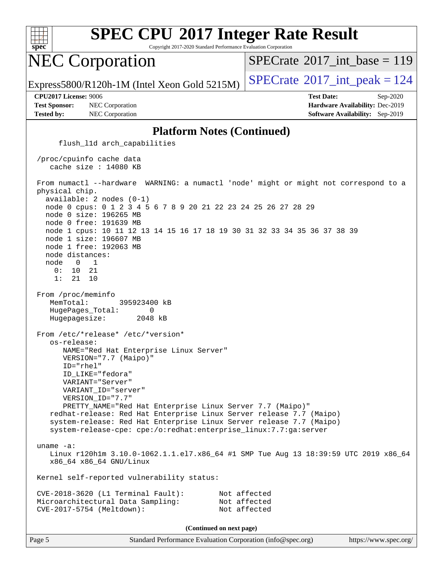

Copyright 2017-2020 Standard Performance Evaluation Corporation

## NEC Corporation

 $SPECTate$ <sup>®</sup>[2017\\_int\\_base =](http://www.spec.org/auto/cpu2017/Docs/result-fields.html#SPECrate2017intbase) 119

Express5800/R120h-1M (Intel Xeon Gold 5215M)  $\vert$  [SPECrate](http://www.spec.org/auto/cpu2017/Docs/result-fields.html#SPECrate2017intpeak)®[2017\\_int\\_peak = 1](http://www.spec.org/auto/cpu2017/Docs/result-fields.html#SPECrate2017intpeak)24

**[Test Sponsor:](http://www.spec.org/auto/cpu2017/Docs/result-fields.html#TestSponsor)** NEC Corporation **[Hardware Availability:](http://www.spec.org/auto/cpu2017/Docs/result-fields.html#HardwareAvailability)** Dec-2019 **[Tested by:](http://www.spec.org/auto/cpu2017/Docs/result-fields.html#Testedby)** NEC Corporation **[Software Availability:](http://www.spec.org/auto/cpu2017/Docs/result-fields.html#SoftwareAvailability)** Sep-2019

**[CPU2017 License:](http://www.spec.org/auto/cpu2017/Docs/result-fields.html#CPU2017License)** 9006 **[Test Date:](http://www.spec.org/auto/cpu2017/Docs/result-fields.html#TestDate)** Sep-2020

#### **[Platform Notes \(Continued\)](http://www.spec.org/auto/cpu2017/Docs/result-fields.html#PlatformNotes)**

Page 5 Standard Performance Evaluation Corporation [\(info@spec.org\)](mailto:info@spec.org) <https://www.spec.org/> flush\_l1d arch\_capabilities /proc/cpuinfo cache data cache size : 14080 KB From numactl --hardware WARNING: a numactl 'node' might or might not correspond to a physical chip. available: 2 nodes (0-1) node 0 cpus: 0 1 2 3 4 5 6 7 8 9 20 21 22 23 24 25 26 27 28 29 node 0 size: 196265 MB node 0 free: 191639 MB node 1 cpus: 10 11 12 13 14 15 16 17 18 19 30 31 32 33 34 35 36 37 38 39 node 1 size: 196607 MB node 1 free: 192063 MB node distances: node 0 1 0: 10 21 1: 21 10 From /proc/meminfo MemTotal: 395923400 kB HugePages\_Total: 0 Hugepagesize: 2048 kB From /etc/\*release\* /etc/\*version\* os-release: NAME="Red Hat Enterprise Linux Server" VERSION="7.7 (Maipo)" ID="rhel" ID\_LIKE="fedora" VARIANT="Server" VARIANT\_ID="server" VERSION\_ID="7.7" PRETTY\_NAME="Red Hat Enterprise Linux Server 7.7 (Maipo)" redhat-release: Red Hat Enterprise Linux Server release 7.7 (Maipo) system-release: Red Hat Enterprise Linux Server release 7.7 (Maipo) system-release-cpe: cpe:/o:redhat:enterprise\_linux:7.7:ga:server uname -a: Linux r120h1m 3.10.0-1062.1.1.el7.x86\_64 #1 SMP Tue Aug 13 18:39:59 UTC 2019 x86\_64 x86\_64 x86\_64 GNU/Linux Kernel self-reported vulnerability status: CVE-2018-3620 (L1 Terminal Fault): Not affected Microarchitectural Data Sampling: Not affected CVE-2017-5754 (Meltdown): Not affected **(Continued on next page)**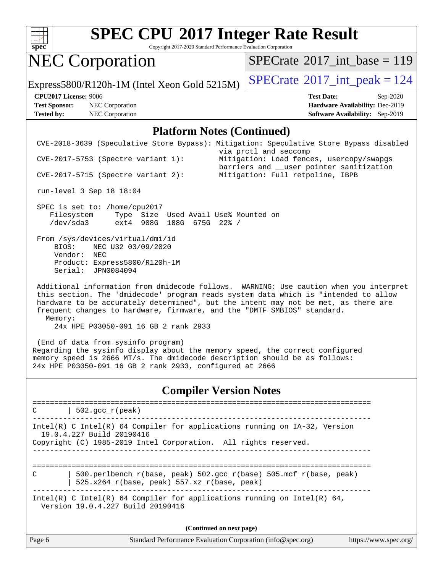

Copyright 2017-2020 Standard Performance Evaluation Corporation

# NEC Corporation

 $SPECrate$ <sup>®</sup>[2017\\_int\\_base =](http://www.spec.org/auto/cpu2017/Docs/result-fields.html#SPECrate2017intbase) 119

Express5800/R120h-1M (Intel Xeon Gold 5215M)  $\left|$  [SPECrate](http://www.spec.org/auto/cpu2017/Docs/result-fields.html#SPECrate2017intpeak)<sup>®</sup>[2017\\_int\\_peak = 1](http://www.spec.org/auto/cpu2017/Docs/result-fields.html#SPECrate2017intpeak)24

**[Test Sponsor:](http://www.spec.org/auto/cpu2017/Docs/result-fields.html#TestSponsor)** NEC Corporation **[Hardware Availability:](http://www.spec.org/auto/cpu2017/Docs/result-fields.html#HardwareAvailability)** Dec-2019 **[Tested by:](http://www.spec.org/auto/cpu2017/Docs/result-fields.html#Testedby)** NEC Corporation **[Software Availability:](http://www.spec.org/auto/cpu2017/Docs/result-fields.html#SoftwareAvailability)** Sep-2019

**[CPU2017 License:](http://www.spec.org/auto/cpu2017/Docs/result-fields.html#CPU2017License)** 9006 **[Test Date:](http://www.spec.org/auto/cpu2017/Docs/result-fields.html#TestDate)** Sep-2020

#### **[Platform Notes \(Continued\)](http://www.spec.org/auto/cpu2017/Docs/result-fields.html#PlatformNotes)**

|                      | CVE-2018-3639 (Speculative Store Bypass): Mitigation: Speculative Store Bypass disabled                                                                                                                                                                                                                                                        | via prctl and seccomp                                                                |                       |
|----------------------|------------------------------------------------------------------------------------------------------------------------------------------------------------------------------------------------------------------------------------------------------------------------------------------------------------------------------------------------|--------------------------------------------------------------------------------------|-----------------------|
|                      | CVE-2017-5753 (Spectre variant 1):                                                                                                                                                                                                                                                                                                             | Mitigation: Load fences, usercopy/swapgs<br>barriers and __user pointer sanitization |                       |
|                      | $CVE-2017-5715$ (Spectre variant 2):                                                                                                                                                                                                                                                                                                           | Mitigation: Full retpoline, IBPB                                                     |                       |
|                      | run-level 3 Sep 18 18:04                                                                                                                                                                                                                                                                                                                       |                                                                                      |                       |
|                      | SPEC is set to: /home/cpu2017<br>Filesystem Type Size Used Avail Use% Mounted on<br>/dev/sda3 ext4 908G 188G 675G 22% /                                                                                                                                                                                                                        |                                                                                      |                       |
| BIOS:<br>Vendor: NEC | From /sys/devices/virtual/dmi/id<br>NEC U32 03/09/2020<br>Product: Express5800/R120h-1M<br>Serial: JPN0084094                                                                                                                                                                                                                                  |                                                                                      |                       |
| Memory:              | Additional information from dmidecode follows. WARNING: Use caution when you interpret<br>this section. The 'dmidecode' program reads system data which is "intended to allow<br>hardware to be accurately determined", but the intent may not be met, as there are<br>frequent changes to hardware, firmware, and the "DMTF SMBIOS" standard. |                                                                                      |                       |
|                      | 24x HPE P03050-091 16 GB 2 rank 2933                                                                                                                                                                                                                                                                                                           |                                                                                      |                       |
|                      | (End of data from sysinfo program)<br>Regarding the sysinfo display about the memory speed, the correct configured<br>memory speed is 2666 MT/s. The dmidecode description should be as follows:<br>24x HPE P03050-091 16 GB 2 rank 2933, configured at 2666                                                                                   |                                                                                      |                       |
|                      |                                                                                                                                                                                                                                                                                                                                                | <b>Compiler Version Notes</b>                                                        |                       |
| C                    | $\vert$ 502.gcc_r(peak)                                                                                                                                                                                                                                                                                                                        |                                                                                      |                       |
|                      | Intel(R) C Intel(R) 64 Compiler for applications running on IA-32, Version<br>19.0.4.227 Build 20190416<br>Copyright (C) 1985-2019 Intel Corporation. All rights reserved.                                                                                                                                                                     |                                                                                      |                       |
|                      |                                                                                                                                                                                                                                                                                                                                                |                                                                                      |                       |
| C                    | 500.perlbench_r(base, peak) 502.gcc_r(base) 505.mcf_r(base, peak)<br>525.x264_r(base, peak) 557.xz_r(base, peak)                                                                                                                                                                                                                               |                                                                                      |                       |
|                      | Intel(R) C Intel(R) 64 Compiler for applications running on Intel(R) 64,<br>Version 19.0.4.227 Build 20190416                                                                                                                                                                                                                                  |                                                                                      |                       |
|                      |                                                                                                                                                                                                                                                                                                                                                | (Continued on next page)                                                             |                       |
| Page 6               |                                                                                                                                                                                                                                                                                                                                                | Standard Performance Evaluation Corporation (info@spec.org)                          | https://www.spec.org/ |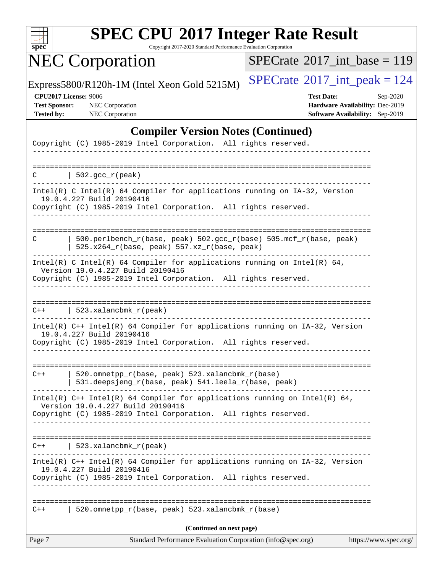

Copyright 2017-2020 Standard Performance Evaluation Corporation

# NEC Corporation

 $SPECrate$ <sup>®</sup>[2017\\_int\\_base =](http://www.spec.org/auto/cpu2017/Docs/result-fields.html#SPECrate2017intbase) 119

Express5800/R120h-1M (Intel Xeon Gold 5215M)  $\left|$  [SPECrate](http://www.spec.org/auto/cpu2017/Docs/result-fields.html#SPECrate2017intpeak)<sup>®</sup>[2017\\_int\\_peak = 1](http://www.spec.org/auto/cpu2017/Docs/result-fields.html#SPECrate2017intpeak)24

**[CPU2017 License:](http://www.spec.org/auto/cpu2017/Docs/result-fields.html#CPU2017License)** 9006 **[Test Date:](http://www.spec.org/auto/cpu2017/Docs/result-fields.html#TestDate)** Sep-2020 **[Test Sponsor:](http://www.spec.org/auto/cpu2017/Docs/result-fields.html#TestSponsor)** NEC Corporation **[Hardware Availability:](http://www.spec.org/auto/cpu2017/Docs/result-fields.html#HardwareAvailability)** Dec-2019 **[Tested by:](http://www.spec.org/auto/cpu2017/Docs/result-fields.html#Testedby)** NEC Corporation **[Software Availability:](http://www.spec.org/auto/cpu2017/Docs/result-fields.html#SoftwareAvailability)** Sep-2019

## **[Compiler Version Notes \(Continued\)](http://www.spec.org/auto/cpu2017/Docs/result-fields.html#CompilerVersionNotes)**

|        | Copyright (C) 1985-2019 Intel Corporation. All rights reserved.                                                    |
|--------|--------------------------------------------------------------------------------------------------------------------|
|        |                                                                                                                    |
|        | $C$   502.gcc_r(peak)                                                                                              |
|        | Intel(R) C Intel(R) 64 Compiler for applications running on $IA-32$ , Version<br>19.0.4.227 Build 20190416         |
|        | Copyright (C) 1985-2019 Intel Corporation. All rights reserved.<br>___________________________________             |
|        |                                                                                                                    |
| C      | 500.perlbench_r(base, peak) 502.gcc_r(base) 505.mcf_r(base, peak)<br>$525.x264_r(base, peak) 557.xz_r(base, peak)$ |
|        | Intel(R) C Intel(R) 64 Compiler for applications running on Intel(R) 64,<br>Version 19.0.4.227 Build 20190416      |
|        | Copyright (C) 1985-2019 Intel Corporation. All rights reserved.                                                    |
|        | $C++$   523.xalancbmk_r(peak)                                                                                      |
|        | Intel(R) $C++$ Intel(R) 64 Compiler for applications running on $IA-32$ , Version<br>19.0.4.227 Build 20190416     |
|        | Copyright (C) 1985-2019 Intel Corporation. All rights reserved.                                                    |
|        |                                                                                                                    |
| $C++$  | 520.omnetpp_r(base, peak) 523.xalancbmk_r(base)<br>531.deepsjeng_r(base, peak) 541.leela_r(base, peak)             |
|        | Intel(R) $C++$ Intel(R) 64 Compiler for applications running on Intel(R) 64,<br>Version 19.0.4.227 Build 20190416  |
|        | Copyright (C) 1985-2019 Intel Corporation. All rights reserved.                                                    |
| $C++$  | 523.xalancbmk_r(peak)                                                                                              |
|        | Intel(R) C++ Intel(R) 64 Compiler for applications running on IA-32, Version<br>19.0.4.227 Build 20190416          |
|        | Copyright (C) 1985-2019 Intel Corporation. All rights reserved.                                                    |
| $C++$  | 520.omnetpp_r(base, peak) 523.xalancbmk_r(base)                                                                    |
|        | (Continued on next page)                                                                                           |
| Page 7 | Standard Performance Evaluation Corporation (info@spec.org)<br>https://www.spec.org/                               |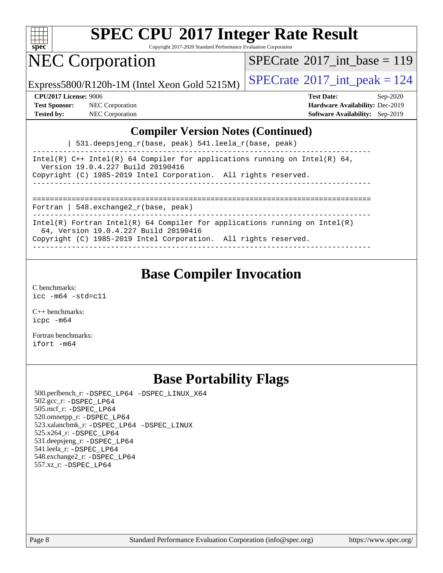

Copyright 2017-2020 Standard Performance Evaluation Corporation

## NEC Corporation

 $SPECTate@2017_int\_base = 119$ 

Express5800/R120h-1M (Intel Xeon Gold 5215M)  $\vert$  [SPECrate](http://www.spec.org/auto/cpu2017/Docs/result-fields.html#SPECrate2017intpeak)®[2017\\_int\\_peak = 1](http://www.spec.org/auto/cpu2017/Docs/result-fields.html#SPECrate2017intpeak)24

**[Test Sponsor:](http://www.spec.org/auto/cpu2017/Docs/result-fields.html#TestSponsor)** NEC Corporation **[Hardware Availability:](http://www.spec.org/auto/cpu2017/Docs/result-fields.html#HardwareAvailability)** Dec-2019

**[CPU2017 License:](http://www.spec.org/auto/cpu2017/Docs/result-fields.html#CPU2017License)** 9006 **[Test Date:](http://www.spec.org/auto/cpu2017/Docs/result-fields.html#TestDate)** Sep-2020 **[Tested by:](http://www.spec.org/auto/cpu2017/Docs/result-fields.html#Testedby)** NEC Corporation **[Software Availability:](http://www.spec.org/auto/cpu2017/Docs/result-fields.html#SoftwareAvailability)** Sep-2019

### **[Compiler Version Notes \(Continued\)](http://www.spec.org/auto/cpu2017/Docs/result-fields.html#CompilerVersionNotes)**

| 531.deepsjeng\_r(base, peak) 541.leela\_r(base, peak)

------------------------------------------------------------------------------ Intel(R)  $C++$  Intel(R) 64 Compiler for applications running on Intel(R) 64, Version 19.0.4.227 Build 20190416 Copyright (C) 1985-2019 Intel Corporation. All rights reserved. ------------------------------------------------------------------------------

==============================================================================

Fortran | 548.exchange2\_r(base, peak)

------------------------------------------------------------------------------ Intel(R) Fortran Intel(R) 64 Compiler for applications running on Intel(R)

64, Version 19.0.4.227 Build 20190416

Copyright (C) 1985-2019 Intel Corporation. All rights reserved. ------------------------------------------------------------------------------

**[Base Compiler Invocation](http://www.spec.org/auto/cpu2017/Docs/result-fields.html#BaseCompilerInvocation)**

[C benchmarks](http://www.spec.org/auto/cpu2017/Docs/result-fields.html#Cbenchmarks): [icc -m64 -std=c11](http://www.spec.org/cpu2017/results/res2020q4/cpu2017-20200928-24116.flags.html#user_CCbase_intel_icc_64bit_c11_33ee0cdaae7deeeab2a9725423ba97205ce30f63b9926c2519791662299b76a0318f32ddfffdc46587804de3178b4f9328c46fa7c2b0cd779d7a61945c91cd35)

[C++ benchmarks:](http://www.spec.org/auto/cpu2017/Docs/result-fields.html#CXXbenchmarks) [icpc -m64](http://www.spec.org/cpu2017/results/res2020q4/cpu2017-20200928-24116.flags.html#user_CXXbase_intel_icpc_64bit_4ecb2543ae3f1412ef961e0650ca070fec7b7afdcd6ed48761b84423119d1bf6bdf5cad15b44d48e7256388bc77273b966e5eb805aefd121eb22e9299b2ec9d9)

[Fortran benchmarks](http://www.spec.org/auto/cpu2017/Docs/result-fields.html#Fortranbenchmarks): [ifort -m64](http://www.spec.org/cpu2017/results/res2020q4/cpu2017-20200928-24116.flags.html#user_FCbase_intel_ifort_64bit_24f2bb282fbaeffd6157abe4f878425411749daecae9a33200eee2bee2fe76f3b89351d69a8130dd5949958ce389cf37ff59a95e7a40d588e8d3a57e0c3fd751)

## **[Base Portability Flags](http://www.spec.org/auto/cpu2017/Docs/result-fields.html#BasePortabilityFlags)**

 500.perlbench\_r: [-DSPEC\\_LP64](http://www.spec.org/cpu2017/results/res2020q4/cpu2017-20200928-24116.flags.html#b500.perlbench_r_basePORTABILITY_DSPEC_LP64) [-DSPEC\\_LINUX\\_X64](http://www.spec.org/cpu2017/results/res2020q4/cpu2017-20200928-24116.flags.html#b500.perlbench_r_baseCPORTABILITY_DSPEC_LINUX_X64) 502.gcc\_r: [-DSPEC\\_LP64](http://www.spec.org/cpu2017/results/res2020q4/cpu2017-20200928-24116.flags.html#suite_basePORTABILITY502_gcc_r_DSPEC_LP64) 505.mcf\_r: [-DSPEC\\_LP64](http://www.spec.org/cpu2017/results/res2020q4/cpu2017-20200928-24116.flags.html#suite_basePORTABILITY505_mcf_r_DSPEC_LP64) 520.omnetpp\_r: [-DSPEC\\_LP64](http://www.spec.org/cpu2017/results/res2020q4/cpu2017-20200928-24116.flags.html#suite_basePORTABILITY520_omnetpp_r_DSPEC_LP64) 523.xalancbmk\_r: [-DSPEC\\_LP64](http://www.spec.org/cpu2017/results/res2020q4/cpu2017-20200928-24116.flags.html#suite_basePORTABILITY523_xalancbmk_r_DSPEC_LP64) [-DSPEC\\_LINUX](http://www.spec.org/cpu2017/results/res2020q4/cpu2017-20200928-24116.flags.html#b523.xalancbmk_r_baseCXXPORTABILITY_DSPEC_LINUX) 525.x264\_r: [-DSPEC\\_LP64](http://www.spec.org/cpu2017/results/res2020q4/cpu2017-20200928-24116.flags.html#suite_basePORTABILITY525_x264_r_DSPEC_LP64) 531.deepsjeng\_r: [-DSPEC\\_LP64](http://www.spec.org/cpu2017/results/res2020q4/cpu2017-20200928-24116.flags.html#suite_basePORTABILITY531_deepsjeng_r_DSPEC_LP64) 541.leela\_r: [-DSPEC\\_LP64](http://www.spec.org/cpu2017/results/res2020q4/cpu2017-20200928-24116.flags.html#suite_basePORTABILITY541_leela_r_DSPEC_LP64) 548.exchange2\_r: [-DSPEC\\_LP64](http://www.spec.org/cpu2017/results/res2020q4/cpu2017-20200928-24116.flags.html#suite_basePORTABILITY548_exchange2_r_DSPEC_LP64) 557.xz\_r: [-DSPEC\\_LP64](http://www.spec.org/cpu2017/results/res2020q4/cpu2017-20200928-24116.flags.html#suite_basePORTABILITY557_xz_r_DSPEC_LP64)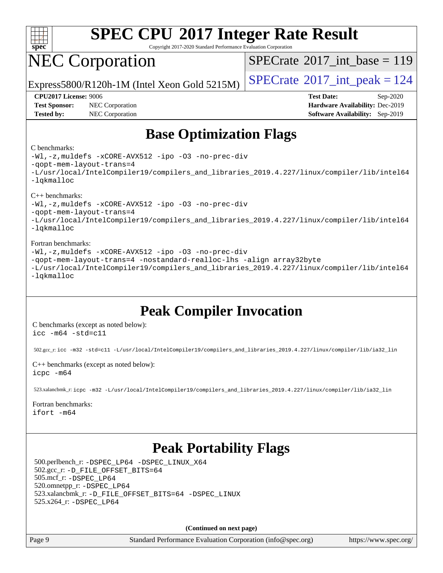

Copyright 2017-2020 Standard Performance Evaluation Corporation

# NEC Corporation

 $SPECTate@2017_int\_base = 119$ 

Express5800/R120h-1M (Intel Xeon Gold 5215M)  $\left|$  [SPECrate](http://www.spec.org/auto/cpu2017/Docs/result-fields.html#SPECrate2017intpeak)<sup>®</sup>[2017\\_int\\_peak = 1](http://www.spec.org/auto/cpu2017/Docs/result-fields.html#SPECrate2017intpeak)24

**[Test Sponsor:](http://www.spec.org/auto/cpu2017/Docs/result-fields.html#TestSponsor)** NEC Corporation **[Hardware Availability:](http://www.spec.org/auto/cpu2017/Docs/result-fields.html#HardwareAvailability)** Dec-2019 **[Tested by:](http://www.spec.org/auto/cpu2017/Docs/result-fields.html#Testedby)** NEC Corporation **[Software Availability:](http://www.spec.org/auto/cpu2017/Docs/result-fields.html#SoftwareAvailability)** Sep-2019

**[CPU2017 License:](http://www.spec.org/auto/cpu2017/Docs/result-fields.html#CPU2017License)** 9006 **[Test Date:](http://www.spec.org/auto/cpu2017/Docs/result-fields.html#TestDate)** Sep-2020

## **[Base Optimization Flags](http://www.spec.org/auto/cpu2017/Docs/result-fields.html#BaseOptimizationFlags)**

#### [C benchmarks](http://www.spec.org/auto/cpu2017/Docs/result-fields.html#Cbenchmarks):



[-Wl,-z,muldefs](http://www.spec.org/cpu2017/results/res2020q4/cpu2017-20200928-24116.flags.html#user_CXXbase_link_force_multiple1_b4cbdb97b34bdee9ceefcfe54f4c8ea74255f0b02a4b23e853cdb0e18eb4525ac79b5a88067c842dd0ee6996c24547a27a4b99331201badda8798ef8a743f577) [-xCORE-AVX512](http://www.spec.org/cpu2017/results/res2020q4/cpu2017-20200928-24116.flags.html#user_CXXbase_f-xCORE-AVX512) [-ipo](http://www.spec.org/cpu2017/results/res2020q4/cpu2017-20200928-24116.flags.html#user_CXXbase_f-ipo) [-O3](http://www.spec.org/cpu2017/results/res2020q4/cpu2017-20200928-24116.flags.html#user_CXXbase_f-O3) [-no-prec-div](http://www.spec.org/cpu2017/results/res2020q4/cpu2017-20200928-24116.flags.html#user_CXXbase_f-no-prec-div)

[-qopt-mem-layout-trans=4](http://www.spec.org/cpu2017/results/res2020q4/cpu2017-20200928-24116.flags.html#user_CXXbase_f-qopt-mem-layout-trans_fa39e755916c150a61361b7846f310bcdf6f04e385ef281cadf3647acec3f0ae266d1a1d22d972a7087a248fd4e6ca390a3634700869573d231a252c784941a8)

[-L/usr/local/IntelCompiler19/compilers\\_and\\_libraries\\_2019.4.227/linux/compiler/lib/intel64](http://www.spec.org/cpu2017/results/res2020q4/cpu2017-20200928-24116.flags.html#user_CXXbase_qkmalloc_link_0ffe0cb02c68ef1b443a077c7888c10c67ca0d1dd7138472156f06a085bbad385f78d49618ad55dca9db3b1608e84afc2f69b4003b1d1ca498a9fc1462ccefda) [-lqkmalloc](http://www.spec.org/cpu2017/results/res2020q4/cpu2017-20200928-24116.flags.html#user_CXXbase_qkmalloc_link_lib_79a818439969f771c6bc311cfd333c00fc099dad35c030f5aab9dda831713d2015205805422f83de8875488a2991c0a156aaa600e1f9138f8fc37004abc96dc5)

#### [Fortran benchmarks:](http://www.spec.org/auto/cpu2017/Docs/result-fields.html#Fortranbenchmarks)

[-Wl,-z,muldefs](http://www.spec.org/cpu2017/results/res2020q4/cpu2017-20200928-24116.flags.html#user_FCbase_link_force_multiple1_b4cbdb97b34bdee9ceefcfe54f4c8ea74255f0b02a4b23e853cdb0e18eb4525ac79b5a88067c842dd0ee6996c24547a27a4b99331201badda8798ef8a743f577) [-xCORE-AVX512](http://www.spec.org/cpu2017/results/res2020q4/cpu2017-20200928-24116.flags.html#user_FCbase_f-xCORE-AVX512) [-ipo](http://www.spec.org/cpu2017/results/res2020q4/cpu2017-20200928-24116.flags.html#user_FCbase_f-ipo) [-O3](http://www.spec.org/cpu2017/results/res2020q4/cpu2017-20200928-24116.flags.html#user_FCbase_f-O3) [-no-prec-div](http://www.spec.org/cpu2017/results/res2020q4/cpu2017-20200928-24116.flags.html#user_FCbase_f-no-prec-div) [-qopt-mem-layout-trans=4](http://www.spec.org/cpu2017/results/res2020q4/cpu2017-20200928-24116.flags.html#user_FCbase_f-qopt-mem-layout-trans_fa39e755916c150a61361b7846f310bcdf6f04e385ef281cadf3647acec3f0ae266d1a1d22d972a7087a248fd4e6ca390a3634700869573d231a252c784941a8) [-nostandard-realloc-lhs](http://www.spec.org/cpu2017/results/res2020q4/cpu2017-20200928-24116.flags.html#user_FCbase_f_2003_std_realloc_82b4557e90729c0f113870c07e44d33d6f5a304b4f63d4c15d2d0f1fab99f5daaed73bdb9275d9ae411527f28b936061aa8b9c8f2d63842963b95c9dd6426b8a) [-align array32byte](http://www.spec.org/cpu2017/results/res2020q4/cpu2017-20200928-24116.flags.html#user_FCbase_align_array32byte_b982fe038af199962ba9a80c053b8342c548c85b40b8e86eb3cc33dee0d7986a4af373ac2d51c3f7cf710a18d62fdce2948f201cd044323541f22fc0fffc51b6) [-L/usr/local/IntelCompiler19/compilers\\_and\\_libraries\\_2019.4.227/linux/compiler/lib/intel64](http://www.spec.org/cpu2017/results/res2020q4/cpu2017-20200928-24116.flags.html#user_FCbase_qkmalloc_link_0ffe0cb02c68ef1b443a077c7888c10c67ca0d1dd7138472156f06a085bbad385f78d49618ad55dca9db3b1608e84afc2f69b4003b1d1ca498a9fc1462ccefda) [-lqkmalloc](http://www.spec.org/cpu2017/results/res2020q4/cpu2017-20200928-24116.flags.html#user_FCbase_qkmalloc_link_lib_79a818439969f771c6bc311cfd333c00fc099dad35c030f5aab9dda831713d2015205805422f83de8875488a2991c0a156aaa600e1f9138f8fc37004abc96dc5)

## **[Peak Compiler Invocation](http://www.spec.org/auto/cpu2017/Docs/result-fields.html#PeakCompilerInvocation)**

[C benchmarks \(except as noted below\)](http://www.spec.org/auto/cpu2017/Docs/result-fields.html#Cbenchmarksexceptasnotedbelow): [icc -m64 -std=c11](http://www.spec.org/cpu2017/results/res2020q4/cpu2017-20200928-24116.flags.html#user_CCpeak_intel_icc_64bit_c11_33ee0cdaae7deeeab2a9725423ba97205ce30f63b9926c2519791662299b76a0318f32ddfffdc46587804de3178b4f9328c46fa7c2b0cd779d7a61945c91cd35)

502.gcc\_r: [icc -m32 -std=c11 -L/usr/local/IntelCompiler19/compilers\\_and\\_libraries\\_2019.4.227/linux/compiler/lib/ia32\\_lin](http://www.spec.org/cpu2017/results/res2020q4/cpu2017-20200928-24116.flags.html#user_peakCCLD502_gcc_r_intel_icc_38a193a897536fa645efb1dc6ac2bea2bddbbe56f130e144a606d1b2649003f27c79f8814020c1f9355cbbf0d7ab0d194a7a979ee1e2a95641bbb8cf571aac7b)

[C++ benchmarks \(except as noted below\)](http://www.spec.org/auto/cpu2017/Docs/result-fields.html#CXXbenchmarksexceptasnotedbelow): [icpc -m64](http://www.spec.org/cpu2017/results/res2020q4/cpu2017-20200928-24116.flags.html#user_CXXpeak_intel_icpc_64bit_4ecb2543ae3f1412ef961e0650ca070fec7b7afdcd6ed48761b84423119d1bf6bdf5cad15b44d48e7256388bc77273b966e5eb805aefd121eb22e9299b2ec9d9)

523.xalancbmk\_r: [icpc -m32 -L/usr/local/IntelCompiler19/compilers\\_and\\_libraries\\_2019.4.227/linux/compiler/lib/ia32\\_lin](http://www.spec.org/cpu2017/results/res2020q4/cpu2017-20200928-24116.flags.html#user_peakCXXLD523_xalancbmk_r_intel_icpc_840f965b38320ad10acba6032d6ca4c816e722c432c250f3408feae347068ba449f694544a48cf12cd3bde3495e328e6747ab0f629c2925d3062e2ee144af951)

### [Fortran benchmarks](http://www.spec.org/auto/cpu2017/Docs/result-fields.html#Fortranbenchmarks):

[ifort -m64](http://www.spec.org/cpu2017/results/res2020q4/cpu2017-20200928-24116.flags.html#user_FCpeak_intel_ifort_64bit_24f2bb282fbaeffd6157abe4f878425411749daecae9a33200eee2bee2fe76f3b89351d69a8130dd5949958ce389cf37ff59a95e7a40d588e8d3a57e0c3fd751)

## **[Peak Portability Flags](http://www.spec.org/auto/cpu2017/Docs/result-fields.html#PeakPortabilityFlags)**

 500.perlbench\_r: [-DSPEC\\_LP64](http://www.spec.org/cpu2017/results/res2020q4/cpu2017-20200928-24116.flags.html#b500.perlbench_r_peakPORTABILITY_DSPEC_LP64) [-DSPEC\\_LINUX\\_X64](http://www.spec.org/cpu2017/results/res2020q4/cpu2017-20200928-24116.flags.html#b500.perlbench_r_peakCPORTABILITY_DSPEC_LINUX_X64) 502.gcc\_r: [-D\\_FILE\\_OFFSET\\_BITS=64](http://www.spec.org/cpu2017/results/res2020q4/cpu2017-20200928-24116.flags.html#user_peakPORTABILITY502_gcc_r_file_offset_bits_64_5ae949a99b284ddf4e95728d47cb0843d81b2eb0e18bdfe74bbf0f61d0b064f4bda2f10ea5eb90e1dcab0e84dbc592acfc5018bc955c18609f94ddb8d550002c) 505.mcf\_r: [-DSPEC\\_LP64](http://www.spec.org/cpu2017/results/res2020q4/cpu2017-20200928-24116.flags.html#suite_peakPORTABILITY505_mcf_r_DSPEC_LP64) 520.omnetpp\_r: [-DSPEC\\_LP64](http://www.spec.org/cpu2017/results/res2020q4/cpu2017-20200928-24116.flags.html#suite_peakPORTABILITY520_omnetpp_r_DSPEC_LP64) 523.xalancbmk\_r: [-D\\_FILE\\_OFFSET\\_BITS=64](http://www.spec.org/cpu2017/results/res2020q4/cpu2017-20200928-24116.flags.html#user_peakPORTABILITY523_xalancbmk_r_file_offset_bits_64_5ae949a99b284ddf4e95728d47cb0843d81b2eb0e18bdfe74bbf0f61d0b064f4bda2f10ea5eb90e1dcab0e84dbc592acfc5018bc955c18609f94ddb8d550002c) [-DSPEC\\_LINUX](http://www.spec.org/cpu2017/results/res2020q4/cpu2017-20200928-24116.flags.html#b523.xalancbmk_r_peakCXXPORTABILITY_DSPEC_LINUX) 525.x264\_r: [-DSPEC\\_LP64](http://www.spec.org/cpu2017/results/res2020q4/cpu2017-20200928-24116.flags.html#suite_peakPORTABILITY525_x264_r_DSPEC_LP64)

**(Continued on next page)**

Page 9 Standard Performance Evaluation Corporation [\(info@spec.org\)](mailto:info@spec.org) <https://www.spec.org/>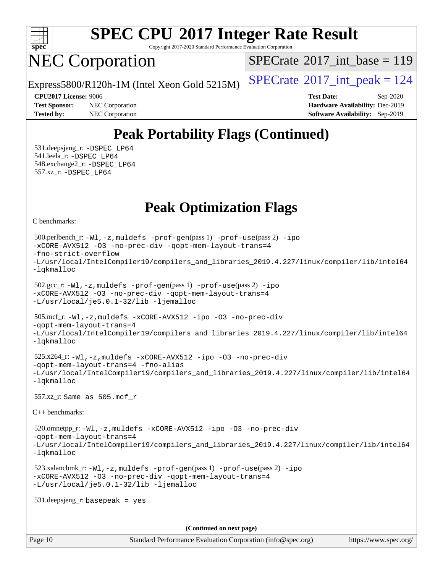

Copyright 2017-2020 Standard Performance Evaluation Corporation

# NEC Corporation

 $SPECTate@2017_int\_base = 119$ 

Express5800/R120h-1M (Intel Xeon Gold 5215M)  $\left|$  [SPECrate](http://www.spec.org/auto/cpu2017/Docs/result-fields.html#SPECrate2017intpeak)<sup>®</sup>[2017\\_int\\_peak = 1](http://www.spec.org/auto/cpu2017/Docs/result-fields.html#SPECrate2017intpeak)24

**[Tested by:](http://www.spec.org/auto/cpu2017/Docs/result-fields.html#Testedby)** NEC Corporation **[Software Availability:](http://www.spec.org/auto/cpu2017/Docs/result-fields.html#SoftwareAvailability)** Sep-2019

**[CPU2017 License:](http://www.spec.org/auto/cpu2017/Docs/result-fields.html#CPU2017License)** 9006 **[Test Date:](http://www.spec.org/auto/cpu2017/Docs/result-fields.html#TestDate)** Sep-2020 **[Test Sponsor:](http://www.spec.org/auto/cpu2017/Docs/result-fields.html#TestSponsor)** NEC Corporation **[Hardware Availability:](http://www.spec.org/auto/cpu2017/Docs/result-fields.html#HardwareAvailability)** Dec-2019

## **[Peak Portability Flags \(Continued\)](http://www.spec.org/auto/cpu2017/Docs/result-fields.html#PeakPortabilityFlags)**

 531.deepsjeng\_r: [-DSPEC\\_LP64](http://www.spec.org/cpu2017/results/res2020q4/cpu2017-20200928-24116.flags.html#suite_peakPORTABILITY531_deepsjeng_r_DSPEC_LP64) 541.leela\_r: [-DSPEC\\_LP64](http://www.spec.org/cpu2017/results/res2020q4/cpu2017-20200928-24116.flags.html#suite_peakPORTABILITY541_leela_r_DSPEC_LP64) 548.exchange2\_r: [-DSPEC\\_LP64](http://www.spec.org/cpu2017/results/res2020q4/cpu2017-20200928-24116.flags.html#suite_peakPORTABILITY548_exchange2_r_DSPEC_LP64) 557.xz\_r: [-DSPEC\\_LP64](http://www.spec.org/cpu2017/results/res2020q4/cpu2017-20200928-24116.flags.html#suite_peakPORTABILITY557_xz_r_DSPEC_LP64)

## **[Peak Optimization Flags](http://www.spec.org/auto/cpu2017/Docs/result-fields.html#PeakOptimizationFlags)**

[C benchmarks](http://www.spec.org/auto/cpu2017/Docs/result-fields.html#Cbenchmarks):

```
Page 10 Standard Performance Evaluation Corporation (info@spec.org) https://www.spec.org/
  500.perlbench_r: -Wl,-z,muldefs -prof-gen(pass 1) -prof-use(pass 2) -ipo
-xCORE-AVX512 -O3 -no-prec-div -qopt-mem-layout-trans=4
-fno-strict-overflow
-L/usr/local/IntelCompiler19/compilers_and_libraries_2019.4.227/linux/compiler/lib/intel64
-lqkmalloc
  502.gcc_r: -Wl,-z,muldefs -prof-gen(pass 1) -prof-use(pass 2) -ipo
-xCORE-AVX512 -O3 -no-prec-div -qopt-mem-layout-trans=4
-L/usr/local/je5.0.1-32/lib -ljemalloc
  505.mcf_r: -Wl,-z,muldefs -xCORE-AVX512 -ipo -O3 -no-prec-div
-qopt-mem-layout-trans=4
-L/usr/local/IntelCompiler19/compilers_and_libraries_2019.4.227/linux/compiler/lib/intel64
-lqkmalloc
  525.x264_r: -Wl,-z,muldefs -xCORE-AVX512 -ipo -O3 -no-prec-div
-qopt-mem-layout-trans=4 -fno-alias
-L/usr/local/IntelCompiler19/compilers_and_libraries_2019.4.227/linux/compiler/lib/intel64
-lqkmalloc
  557.xz_r: Same as 505.mcf_r
C++ benchmarks: 
  520.omnetpp_r: -Wl,-z,muldefs -xCORE-AVX512 -ipo -O3 -no-prec-div
-qopt-mem-layout-trans=4
-L/usr/local/IntelCompiler19/compilers_and_libraries_2019.4.227/linux/compiler/lib/intel64
-lqkmalloc
  523.xalancbmk_r: -Wl,-z,muldefs -prof-gen(pass 1) -prof-use(pass 2) -ipo
-xCORE-AVX512 -O3 -no-prec-div -qopt-mem-layout-trans=4
-L/usr/local/je5.0.1-32/lib -ljemalloc
  531.deepsjeng_r: basepeak = yes
                                       (Continued on next page)
```